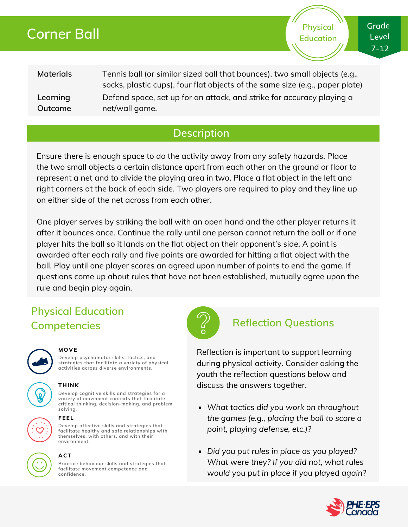# **Corner Ball**

**Materials Learning Outcome** Tennis ball (or similar sized ball that bounces), two small objects (e.g., socks, plastic cups), four flat objects of the same size (e.g., paper plate) Defend space, set up for an attack, and strike for accuracy playing a net/wall game.

## **Description**

Ensure there is enough space to do the activity away from any safety hazards. Place the two small objects a certain distance apart from each other on the ground or floor to represent a net and to divide the playing area in two. Place a flat object in the left and right corners at the back of each side. Two players are required to play and they line up on either side of the net across from each other.

One player serves by striking the ball with an open hand and the other player returns it after it bounces once. Continue the rally until one person cannot return the ball or if one player hits the ball so it lands on the flat object on their opponent's side. A point is awarded after each rally and five points are awarded for hitting a flat object with the ball. Play until one player scores an agreed upon number of points to end the game. If questions come up about rules that have not been established, mutually agree upon the rule and begin play again.

# **Physical Education Competencies Reflection Questions**



#### **MOVE**

**Develop psychomotor skills, tactics, and strategies that facilitate a variety of physical activities across diverse environments.**

### **THINK**

**Develop cognitive skills and strategies for a variety of movement contexts that facilitate critical thinking, decision-making, and problem solving.**

#### **FEEL**

**Develop affective skills and strategies that facilitate healthy and safe relationships with themselves, with others, and with their environment.**



### **ACT**

**Practice behaviour skills and strategies that facilitate movement competence and confidence.**



Reflection is important to support learning during physical activity. Consider asking the youth the reflection questions below and discuss the answers together.

- *What tactics did you work on throughout the games (e.g., placing the ball to score a point, playing defense, etc.)?*
- *Did you put rules in place as you played? What were they? If you did not, what rules would you put in place if you played again?*